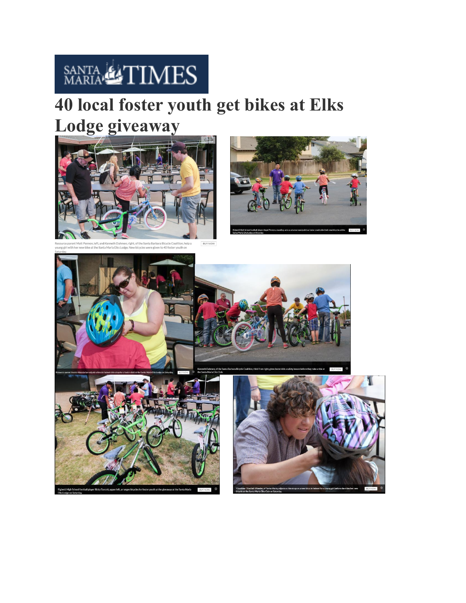

## **40 local foster youth get bikes at Elks Lodge giveaway**











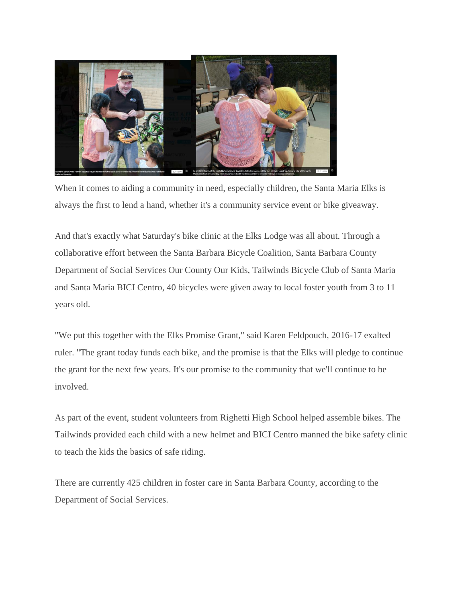

When it comes to aiding a community in need, especially children, the Santa Maria Elks is always the first to lend a hand, whether it's a community service event or bike giveaway.

And that's exactly what Saturday's bike clinic at the Elks Lodge was all about. Through a collaborative effort between the Santa Barbara Bicycle Coalition, Santa Barbara County Department of Social Services Our County Our Kids, Tailwinds Bicycle Club of Santa Maria and Santa Maria BICI Centro, 40 bicycles were given away to local foster youth from 3 to 11 years old.

"We put this together with the Elks Promise Grant," said Karen Feldpouch, 2016-17 exalted ruler. "The grant today funds each bike, and the promise is that the Elks will pledge to continue the grant for the next few years. It's our promise to the community that we'll continue to be involved.

As part of the event, student volunteers from Righetti High School helped assemble bikes. The Tailwinds provided each child with a new helmet and BICI Centro manned the bike safety clinic to teach the kids the basics of safe riding.

There are currently 425 children in foster care in Santa Barbara County, according to the Department of Social Services.